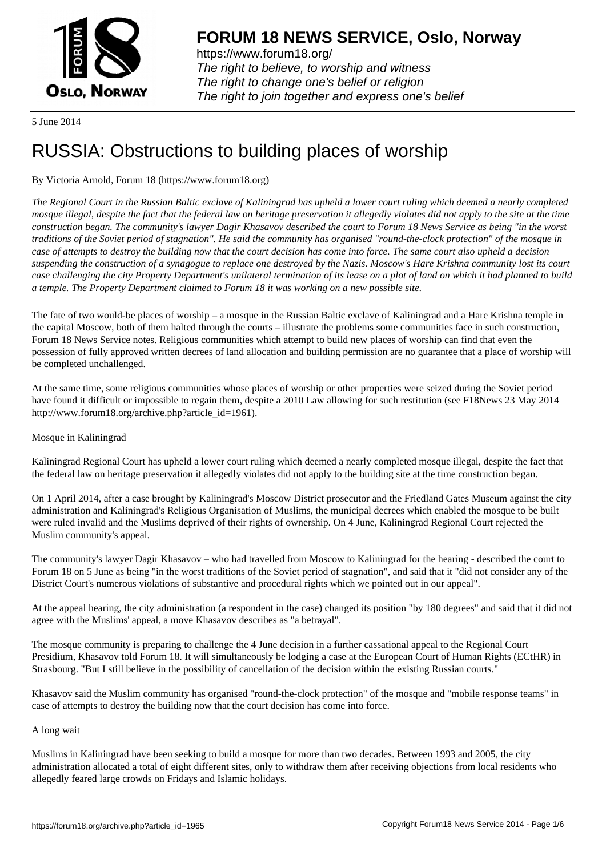

https://www.forum18.org/ The right to believe, to worship and witness The right to change one's belief or religion [The right to join together a](https://www.forum18.org/)nd express one's belief

5 June 2014

# [RUSSIA: Obstru](https://www.forum18.org)ctions to building places of worship

# By Victoria Arnold, Forum 18 (https://www.forum18.org)

*The Regional Court in the Russian Baltic exclave of Kaliningrad has upheld a lower court ruling which deemed a nearly completed mosque illegal, despite the fact that the federal law on heritage preservation it allegedly violates did not apply to the site at the time construction began. The community's lawyer Dagir Khasavov described the court to Forum 18 News Service as being "in the worst traditions of the Soviet period of stagnation". He said the community has organised "round-the-clock protection" of the mosque in case of attempts to destroy the building now that the court decision has come into force. The same court also upheld a decision suspending the construction of a synagogue to replace one destroyed by the Nazis. Moscow's Hare Krishna community lost its court case challenging the city Property Department's unilateral termination of its lease on a plot of land on which it had planned to build a temple. The Property Department claimed to Forum 18 it was working on a new possible site.*

The fate of two would-be places of worship – a mosque in the Russian Baltic exclave of Kaliningrad and a Hare Krishna temple in the capital Moscow, both of them halted through the courts – illustrate the problems some communities face in such construction, Forum 18 News Service notes. Religious communities which attempt to build new places of worship can find that even the possession of fully approved written decrees of land allocation and building permission are no guarantee that a place of worship will be completed unchallenged.

At the same time, some religious communities whose places of worship or other properties were seized during the Soviet period have found it difficult or impossible to regain them, despite a 2010 Law allowing for such restitution (see F18News 23 May 2014 http://www.forum18.org/archive.php?article\_id=1961).

# Mosque in Kaliningrad

Kaliningrad Regional Court has upheld a lower court ruling which deemed a nearly completed mosque illegal, despite the fact that the federal law on heritage preservation it allegedly violates did not apply to the building site at the time construction began.

On 1 April 2014, after a case brought by Kaliningrad's Moscow District prosecutor and the Friedland Gates Museum against the city administration and Kaliningrad's Religious Organisation of Muslims, the municipal decrees which enabled the mosque to be built were ruled invalid and the Muslims deprived of their rights of ownership. On 4 June, Kaliningrad Regional Court rejected the Muslim community's appeal.

The community's lawyer Dagir Khasavov – who had travelled from Moscow to Kaliningrad for the hearing - described the court to Forum 18 on 5 June as being "in the worst traditions of the Soviet period of stagnation", and said that it "did not consider any of the District Court's numerous violations of substantive and procedural rights which we pointed out in our appeal".

At the appeal hearing, the city administration (a respondent in the case) changed its position "by 180 degrees" and said that it did not agree with the Muslims' appeal, a move Khasavov describes as "a betrayal".

The mosque community is preparing to challenge the 4 June decision in a further cassational appeal to the Regional Court Presidium, Khasavov told Forum 18. It will simultaneously be lodging a case at the European Court of Human Rights (ECtHR) in Strasbourg. "But I still believe in the possibility of cancellation of the decision within the existing Russian courts."

Khasavov said the Muslim community has organised "round-the-clock protection" of the mosque and "mobile response teams" in case of attempts to destroy the building now that the court decision has come into force.

# A long wait

Muslims in Kaliningrad have been seeking to build a mosque for more than two decades. Between 1993 and 2005, the city administration allocated a total of eight different sites, only to withdraw them after receiving objections from local residents who allegedly feared large crowds on Fridays and Islamic holidays.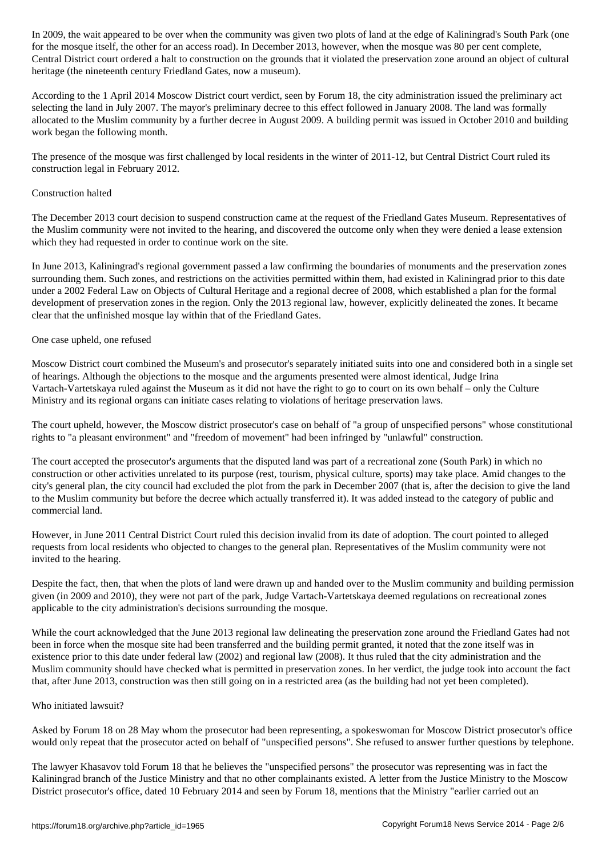for the most road, the other for an access road, when the most road, when the most road  $\alpha$ Central District court ordered a halt to construction on the grounds that it violated the preservation zone around an object of cultural heritage (the nineteenth century Friedland Gates, now a museum).

According to the 1 April 2014 Moscow District court verdict, seen by Forum 18, the city administration issued the preliminary act selecting the land in July 2007. The mayor's preliminary decree to this effect followed in January 2008. The land was formally allocated to the Muslim community by a further decree in August 2009. A building permit was issued in October 2010 and building work began the following month.

The presence of the mosque was first challenged by local residents in the winter of 2011-12, but Central District Court ruled its construction legal in February 2012.

#### Construction halted

The December 2013 court decision to suspend construction came at the request of the Friedland Gates Museum. Representatives of the Muslim community were not invited to the hearing, and discovered the outcome only when they were denied a lease extension which they had requested in order to continue work on the site.

In June 2013, Kaliningrad's regional government passed a law confirming the boundaries of monuments and the preservation zones surrounding them. Such zones, and restrictions on the activities permitted within them, had existed in Kaliningrad prior to this date under a 2002 Federal Law on Objects of Cultural Heritage and a regional decree of 2008, which established a plan for the formal development of preservation zones in the region. Only the 2013 regional law, however, explicitly delineated the zones. It became clear that the unfinished mosque lay within that of the Friedland Gates.

#### One case upheld, one refused

Moscow District court combined the Museum's and prosecutor's separately initiated suits into one and considered both in a single set of hearings. Although the objections to the mosque and the arguments presented were almost identical, Judge Irina Vartach-Vartetskaya ruled against the Museum as it did not have the right to go to court on its own behalf – only the Culture Ministry and its regional organs can initiate cases relating to violations of heritage preservation laws.

The court upheld, however, the Moscow district prosecutor's case on behalf of "a group of unspecified persons" whose constitutional rights to "a pleasant environment" and "freedom of movement" had been infringed by "unlawful" construction.

The court accepted the prosecutor's arguments that the disputed land was part of a recreational zone (South Park) in which no construction or other activities unrelated to its purpose (rest, tourism, physical culture, sports) may take place. Amid changes to the city's general plan, the city council had excluded the plot from the park in December 2007 (that is, after the decision to give the land to the Muslim community but before the decree which actually transferred it). It was added instead to the category of public and commercial land.

However, in June 2011 Central District Court ruled this decision invalid from its date of adoption. The court pointed to alleged requests from local residents who objected to changes to the general plan. Representatives of the Muslim community were not invited to the hearing.

Despite the fact, then, that when the plots of land were drawn up and handed over to the Muslim community and building permission given (in 2009 and 2010), they were not part of the park, Judge Vartach-Vartetskaya deemed regulations on recreational zones applicable to the city administration's decisions surrounding the mosque.

While the court acknowledged that the June 2013 regional law delineating the preservation zone around the Friedland Gates had not been in force when the mosque site had been transferred and the building permit granted, it noted that the zone itself was in existence prior to this date under federal law (2002) and regional law (2008). It thus ruled that the city administration and the Muslim community should have checked what is permitted in preservation zones. In her verdict, the judge took into account the fact that, after June 2013, construction was then still going on in a restricted area (as the building had not yet been completed).

# Who initiated lawsuit?

Asked by Forum 18 on 28 May whom the prosecutor had been representing, a spokeswoman for Moscow District prosecutor's office would only repeat that the prosecutor acted on behalf of "unspecified persons". She refused to answer further questions by telephone.

The lawyer Khasavov told Forum 18 that he believes the "unspecified persons" the prosecutor was representing was in fact the Kaliningrad branch of the Justice Ministry and that no other complainants existed. A letter from the Justice Ministry to the Moscow District prosecutor's office, dated 10 February 2014 and seen by Forum 18, mentions that the Ministry "earlier carried out an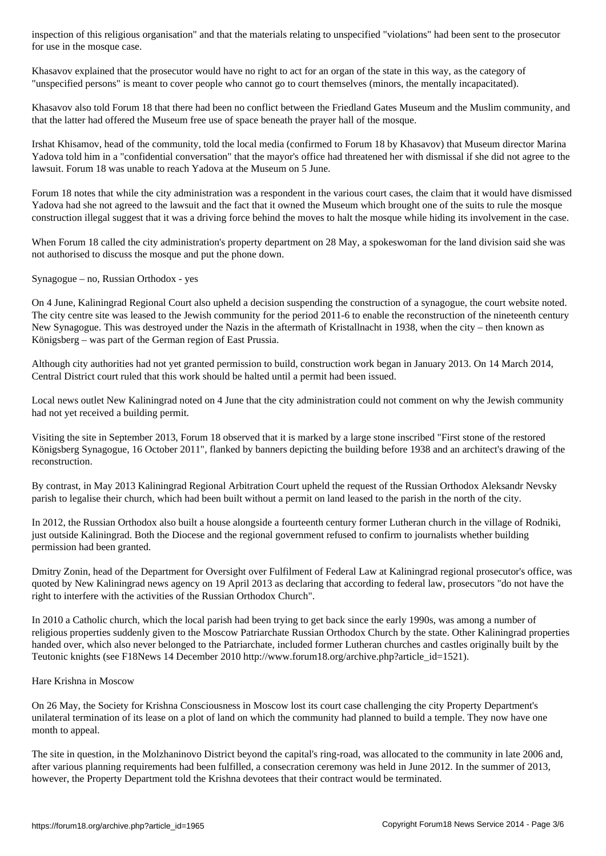Khasavov explained that the prosecutor would have no right to act for an organ of the state in this way, as the category of "unspecified persons" is meant to cover people who cannot go to court themselves (minors, the mentally incapacitated).

Khasavov also told Forum 18 that there had been no conflict between the Friedland Gates Museum and the Muslim community, and that the latter had offered the Museum free use of space beneath the prayer hall of the mosque.

Irshat Khisamov, head of the community, told the local media (confirmed to Forum 18 by Khasavov) that Museum director Marina Yadova told him in a "confidential conversation" that the mayor's office had threatened her with dismissal if she did not agree to the lawsuit. Forum 18 was unable to reach Yadova at the Museum on 5 June.

Forum 18 notes that while the city administration was a respondent in the various court cases, the claim that it would have dismissed Yadova had she not agreed to the lawsuit and the fact that it owned the Museum which brought one of the suits to rule the mosque construction illegal suggest that it was a driving force behind the moves to halt the mosque while hiding its involvement in the case.

When Forum 18 called the city administration's property department on 28 May, a spokeswoman for the land division said she was not authorised to discuss the mosque and put the phone down.

Synagogue – no, Russian Orthodox - yes

for use in the mosque case.

On 4 June, Kaliningrad Regional Court also upheld a decision suspending the construction of a synagogue, the court website noted. The city centre site was leased to the Jewish community for the period 2011-6 to enable the reconstruction of the nineteenth century New Synagogue. This was destroyed under the Nazis in the aftermath of Kristallnacht in 1938, when the city – then known as Königsberg – was part of the German region of East Prussia.

Although city authorities had not yet granted permission to build, construction work began in January 2013. On 14 March 2014, Central District court ruled that this work should be halted until a permit had been issued.

Local news outlet New Kaliningrad noted on 4 June that the city administration could not comment on why the Jewish community had not yet received a building permit.

Visiting the site in September 2013, Forum 18 observed that it is marked by a large stone inscribed "First stone of the restored Königsberg Synagogue, 16 October 2011", flanked by banners depicting the building before 1938 and an architect's drawing of the reconstruction.

By contrast, in May 2013 Kaliningrad Regional Arbitration Court upheld the request of the Russian Orthodox Aleksandr Nevsky parish to legalise their church, which had been built without a permit on land leased to the parish in the north of the city.

In 2012, the Russian Orthodox also built a house alongside a fourteenth century former Lutheran church in the village of Rodniki, just outside Kaliningrad. Both the Diocese and the regional government refused to confirm to journalists whether building permission had been granted.

Dmitry Zonin, head of the Department for Oversight over Fulfilment of Federal Law at Kaliningrad regional prosecutor's office, was quoted by New Kaliningrad news agency on 19 April 2013 as declaring that according to federal law, prosecutors "do not have the right to interfere with the activities of the Russian Orthodox Church".

In 2010 a Catholic church, which the local parish had been trying to get back since the early 1990s, was among a number of religious properties suddenly given to the Moscow Patriarchate Russian Orthodox Church by the state. Other Kaliningrad properties handed over, which also never belonged to the Patriarchate, included former Lutheran churches and castles originally built by the Teutonic knights (see F18News 14 December 2010 http://www.forum18.org/archive.php?article\_id=1521).

#### Hare Krishna in Moscow

On 26 May, the Society for Krishna Consciousness in Moscow lost its court case challenging the city Property Department's unilateral termination of its lease on a plot of land on which the community had planned to build a temple. They now have one month to appeal.

The site in question, in the Molzhaninovo District beyond the capital's ring-road, was allocated to the community in late 2006 and, after various planning requirements had been fulfilled, a consecration ceremony was held in June 2012. In the summer of 2013, however, the Property Department told the Krishna devotees that their contract would be terminated.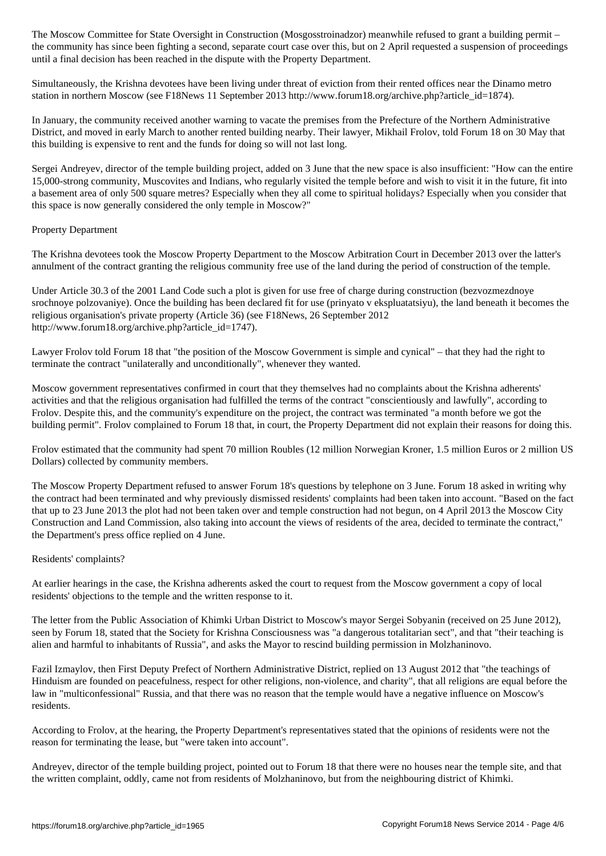the community has since been fighting a second, separate court case over this, but on 2 April requested a suspension of proceedings until a final decision has been reached in the dispute with the Property Department.

Simultaneously, the Krishna devotees have been living under threat of eviction from their rented offices near the Dinamo metro station in northern Moscow (see F18News 11 September 2013 http://www.forum18.org/archive.php?article\_id=1874).

In January, the community received another warning to vacate the premises from the Prefecture of the Northern Administrative District, and moved in early March to another rented building nearby. Their lawyer, Mikhail Frolov, told Forum 18 on 30 May that this building is expensive to rent and the funds for doing so will not last long.

Sergei Andreyev, director of the temple building project, added on 3 June that the new space is also insufficient: "How can the entire 15,000-strong community, Muscovites and Indians, who regularly visited the temple before and wish to visit it in the future, fit into a basement area of only 500 square metres? Especially when they all come to spiritual holidays? Especially when you consider that this space is now generally considered the only temple in Moscow?"

# Property Department

The Krishna devotees took the Moscow Property Department to the Moscow Arbitration Court in December 2013 over the latter's annulment of the contract granting the religious community free use of the land during the period of construction of the temple.

Under Article 30.3 of the 2001 Land Code such a plot is given for use free of charge during construction (bezvozmezdnoye srochnoye polzovaniye). Once the building has been declared fit for use (prinyato v ekspluatatsiyu), the land beneath it becomes the religious organisation's private property (Article 36) (see F18News, 26 September 2012 http://www.forum18.org/archive.php?article\_id=1747).

Lawyer Frolov told Forum 18 that "the position of the Moscow Government is simple and cynical" – that they had the right to terminate the contract "unilaterally and unconditionally", whenever they wanted.

Moscow government representatives confirmed in court that they themselves had no complaints about the Krishna adherents' activities and that the religious organisation had fulfilled the terms of the contract "conscientiously and lawfully", according to Frolov. Despite this, and the community's expenditure on the project, the contract was terminated "a month before we got the building permit". Frolov complained to Forum 18 that, in court, the Property Department did not explain their reasons for doing this.

Frolov estimated that the community had spent 70 million Roubles (12 million Norwegian Kroner, 1.5 million Euros or 2 million US Dollars) collected by community members.

The Moscow Property Department refused to answer Forum 18's questions by telephone on 3 June. Forum 18 asked in writing why the contract had been terminated and why previously dismissed residents' complaints had been taken into account. "Based on the fact that up to 23 June 2013 the plot had not been taken over and temple construction had not begun, on 4 April 2013 the Moscow City Construction and Land Commission, also taking into account the views of residents of the area, decided to terminate the contract," the Department's press office replied on 4 June.

#### Residents' complaints?

At earlier hearings in the case, the Krishna adherents asked the court to request from the Moscow government a copy of local residents' objections to the temple and the written response to it.

The letter from the Public Association of Khimki Urban District to Moscow's mayor Sergei Sobyanin (received on 25 June 2012), seen by Forum 18, stated that the Society for Krishna Consciousness was "a dangerous totalitarian sect", and that "their teaching is alien and harmful to inhabitants of Russia", and asks the Mayor to rescind building permission in Molzhaninovo.

Fazil Izmaylov, then First Deputy Prefect of Northern Administrative District, replied on 13 August 2012 that "the teachings of Hinduism are founded on peacefulness, respect for other religions, non-violence, and charity", that all religions are equal before the law in "multiconfessional" Russia, and that there was no reason that the temple would have a negative influence on Moscow's residents.

According to Frolov, at the hearing, the Property Department's representatives stated that the opinions of residents were not the reason for terminating the lease, but "were taken into account".

Andreyev, director of the temple building project, pointed out to Forum 18 that there were no houses near the temple site, and that the written complaint, oddly, came not from residents of Molzhaninovo, but from the neighbouring district of Khimki.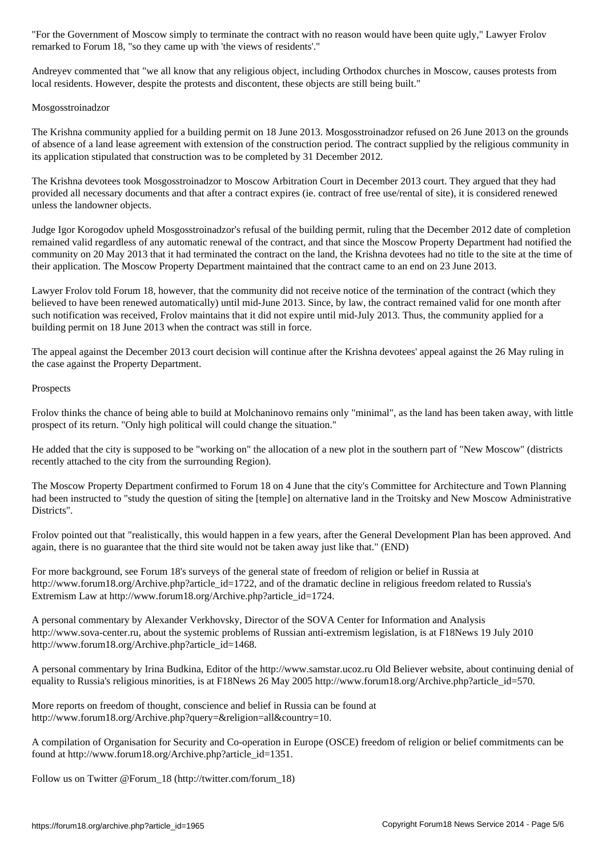remarked to Forum 18, "so they came up with 'the views of residents'."

Andreyev commented that "we all know that any religious object, including Orthodox churches in Moscow, causes protests from local residents. However, despite the protests and discontent, these objects are still being built."

#### Mosgosstroinadzor

The Krishna community applied for a building permit on 18 June 2013. Mosgosstroinadzor refused on 26 June 2013 on the grounds of absence of a land lease agreement with extension of the construction period. The contract supplied by the religious community in its application stipulated that construction was to be completed by 31 December 2012.

The Krishna devotees took Mosgosstroinadzor to Moscow Arbitration Court in December 2013 court. They argued that they had provided all necessary documents and that after a contract expires (ie. contract of free use/rental of site), it is considered renewed unless the landowner objects.

Judge Igor Korogodov upheld Mosgosstroinadzor's refusal of the building permit, ruling that the December 2012 date of completion remained valid regardless of any automatic renewal of the contract, and that since the Moscow Property Department had notified the community on 20 May 2013 that it had terminated the contract on the land, the Krishna devotees had no title to the site at the time of their application. The Moscow Property Department maintained that the contract came to an end on 23 June 2013.

Lawyer Frolov told Forum 18, however, that the community did not receive notice of the termination of the contract (which they believed to have been renewed automatically) until mid-June 2013. Since, by law, the contract remained valid for one month after such notification was received, Frolov maintains that it did not expire until mid-July 2013. Thus, the community applied for a building permit on 18 June 2013 when the contract was still in force.

The appeal against the December 2013 court decision will continue after the Krishna devotees' appeal against the 26 May ruling in the case against the Property Department.

#### **Prospects**

Frolov thinks the chance of being able to build at Molchaninovo remains only "minimal", as the land has been taken away, with little prospect of its return. "Only high political will could change the situation."

He added that the city is supposed to be "working on" the allocation of a new plot in the southern part of "New Moscow" (districts recently attached to the city from the surrounding Region).

The Moscow Property Department confirmed to Forum 18 on 4 June that the city's Committee for Architecture and Town Planning had been instructed to "study the question of siting the [temple] on alternative land in the Troitsky and New Moscow Administrative Districts".

Frolov pointed out that "realistically, this would happen in a few years, after the General Development Plan has been approved. And again, there is no guarantee that the third site would not be taken away just like that." (END)

For more background, see Forum 18's surveys of the general state of freedom of religion or belief in Russia at http://www.forum18.org/Archive.php?article\_id=1722, and of the dramatic decline in religious freedom related to Russia's Extremism Law at http://www.forum18.org/Archive.php?article\_id=1724.

A personal commentary by Alexander Verkhovsky, Director of the SOVA Center for Information and Analysis http://www.sova-center.ru, about the systemic problems of Russian anti-extremism legislation, is at F18News 19 July 2010 http://www.forum18.org/Archive.php?article\_id=1468.

A personal commentary by Irina Budkina, Editor of the http://www.samstar.ucoz.ru Old Believer website, about continuing denial of equality to Russia's religious minorities, is at F18News 26 May 2005 http://www.forum18.org/Archive.php?article\_id=570.

More reports on freedom of thought, conscience and belief in Russia can be found at http://www.forum18.org/Archive.php?query=&religion=all&country=10.

A compilation of Organisation for Security and Co-operation in Europe (OSCE) freedom of religion or belief commitments can be found at http://www.forum18.org/Archive.php?article\_id=1351.

Follow us on Twitter @Forum\_18 (http://twitter.com/forum\_18)